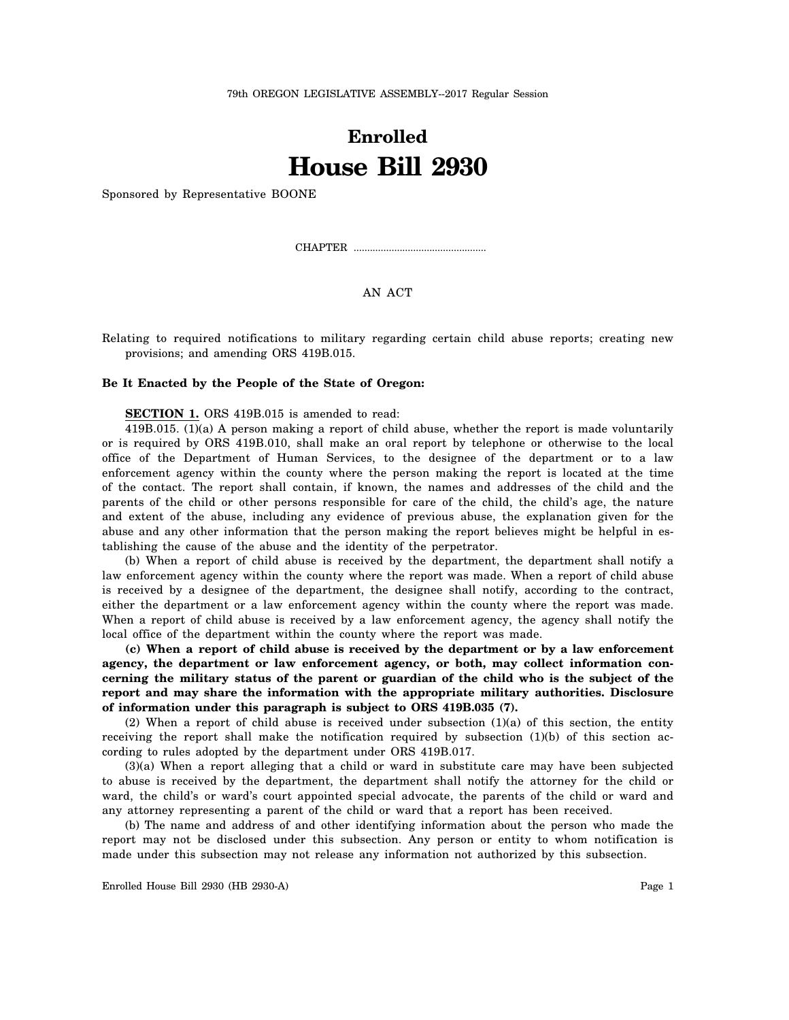79th OREGON LEGISLATIVE ASSEMBLY--2017 Regular Session

## **Enrolled House Bill 2930**

Sponsored by Representative BOONE

CHAPTER .................................................

AN ACT

Relating to required notifications to military regarding certain child abuse reports; creating new provisions; and amending ORS 419B.015.

## **Be It Enacted by the People of the State of Oregon:**

**SECTION 1.** ORS 419B.015 is amended to read:

419B.015. (1)(a) A person making a report of child abuse, whether the report is made voluntarily or is required by ORS 419B.010, shall make an oral report by telephone or otherwise to the local office of the Department of Human Services, to the designee of the department or to a law enforcement agency within the county where the person making the report is located at the time of the contact. The report shall contain, if known, the names and addresses of the child and the parents of the child or other persons responsible for care of the child, the child's age, the nature and extent of the abuse, including any evidence of previous abuse, the explanation given for the abuse and any other information that the person making the report believes might be helpful in establishing the cause of the abuse and the identity of the perpetrator.

(b) When a report of child abuse is received by the department, the department shall notify a law enforcement agency within the county where the report was made. When a report of child abuse is received by a designee of the department, the designee shall notify, according to the contract, either the department or a law enforcement agency within the county where the report was made. When a report of child abuse is received by a law enforcement agency, the agency shall notify the local office of the department within the county where the report was made.

**(c) When a report of child abuse is received by the department or by a law enforcement agency, the department or law enforcement agency, or both, may collect information concerning the military status of the parent or guardian of the child who is the subject of the report and may share the information with the appropriate military authorities. Disclosure of information under this paragraph is subject to ORS 419B.035 (7).**

(2) When a report of child abuse is received under subsection  $(1)(a)$  of this section, the entity receiving the report shall make the notification required by subsection (1)(b) of this section according to rules adopted by the department under ORS 419B.017.

(3)(a) When a report alleging that a child or ward in substitute care may have been subjected to abuse is received by the department, the department shall notify the attorney for the child or ward, the child's or ward's court appointed special advocate, the parents of the child or ward and any attorney representing a parent of the child or ward that a report has been received.

(b) The name and address of and other identifying information about the person who made the report may not be disclosed under this subsection. Any person or entity to whom notification is made under this subsection may not release any information not authorized by this subsection.

Enrolled House Bill 2930 (HB 2930-A) Page 1